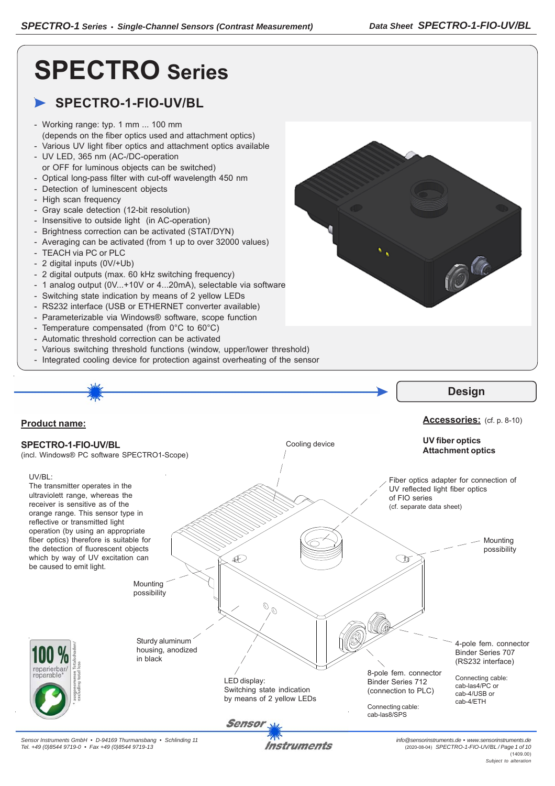C

# **SPECTRO Series**

# **SPECTRO-1-FIO-UV/BL**

- Working range: typ. 1 mm ... 100 mm (depends on the fiber optics used and attachment optics)
- Various UV light fiber optics and attachment optics available - UV LED, 365 nm (AC-/DC-operation
- or OFF for luminous objects can be switched) - Optical long-pass filter with cut-off wavelength 450 nm
- Detection of luminescent objects
- High scan frequency
- Gray scale detection (12-bit resolution)
- Insensitive to outside light (in AC-operation)
- Brightness correction can be activated (STAT/DYN)
- Averaging can be activated (from 1 up to over 32000 values)
- TEACH via PC or PLC
- 2 digital inputs (0V/+Ub)
- 2 digital outputs (max. 60 kHz switching frequency)
- 1 analog output (0V...+10V or 4...20mA), selectable via software
- Switching state indication by means of 2 yellow LEDs
- RS232 interface (USB or ETHERNET converter available)
- Parameterizable via Windows® software, scope function
- Temperature compensated (from 0°C to 60°C)
- Automatic threshold correction can be activated
- Various switching threshold functions (window, upper/lower threshold)
- Integrated cooling device for protection against overheating of the sensor



*Tel. +49 (0)8544 9719-0 • Fax +49 (0)8544 9719-13*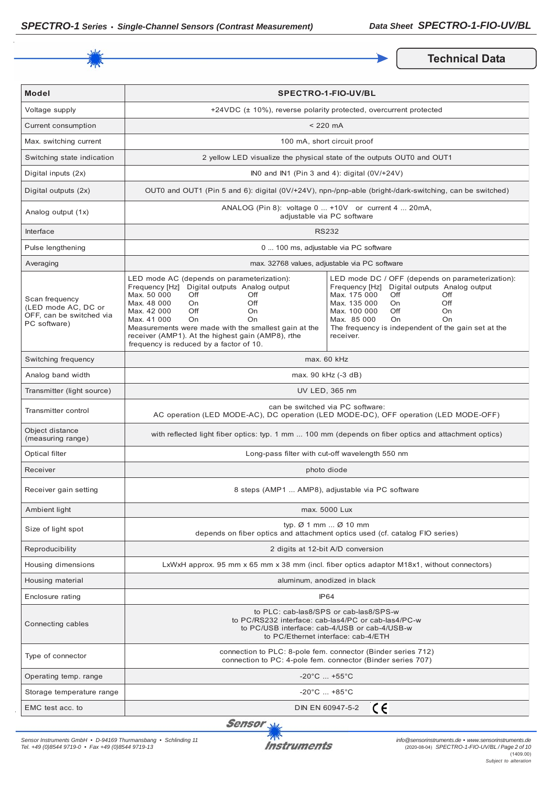

**Technical Data** 

| <b>Model</b>                                                                      | <b>SPECTRO-1-FIO-UV/BL</b>                                                                                                                                                                                                                                                                                                                                         |                                                                                                                                                                                                                                                                                                             |  |
|-----------------------------------------------------------------------------------|--------------------------------------------------------------------------------------------------------------------------------------------------------------------------------------------------------------------------------------------------------------------------------------------------------------------------------------------------------------------|-------------------------------------------------------------------------------------------------------------------------------------------------------------------------------------------------------------------------------------------------------------------------------------------------------------|--|
| Voltage supply                                                                    |                                                                                                                                                                                                                                                                                                                                                                    | +24VDC (± 10%), reverse polarity protected, overcurrent protected                                                                                                                                                                                                                                           |  |
| Current consumption                                                               | $< 220$ mA                                                                                                                                                                                                                                                                                                                                                         |                                                                                                                                                                                                                                                                                                             |  |
| Max. switching current                                                            | 100 mA, short circuit proof                                                                                                                                                                                                                                                                                                                                        |                                                                                                                                                                                                                                                                                                             |  |
| Switching state indication                                                        |                                                                                                                                                                                                                                                                                                                                                                    | 2 yellow LED visualize the physical state of the outputs OUT0 and OUT1                                                                                                                                                                                                                                      |  |
| Digital inputs (2x)                                                               |                                                                                                                                                                                                                                                                                                                                                                    | INO and IN1 (Pin 3 and 4): digital $(0V/+24V)$                                                                                                                                                                                                                                                              |  |
| Digital outputs (2x)                                                              | OUT0 and OUT1 (Pin 5 and 6): digital (0V/+24V), npn-/pnp-able (bright-/dark-switching, can be switched)                                                                                                                                                                                                                                                            |                                                                                                                                                                                                                                                                                                             |  |
| Analog output (1x)                                                                | ANALOG (Pin 8): voltage 0  +10V or current 4  20mA,<br>adjustable via PC software                                                                                                                                                                                                                                                                                  |                                                                                                                                                                                                                                                                                                             |  |
| <b>Interface</b>                                                                  | <b>RS232</b>                                                                                                                                                                                                                                                                                                                                                       |                                                                                                                                                                                                                                                                                                             |  |
| Pulse lengthening                                                                 | 0  100 ms, adjustable via PC software                                                                                                                                                                                                                                                                                                                              |                                                                                                                                                                                                                                                                                                             |  |
| Averaging                                                                         | max. 32768 values, adjustable via PC software                                                                                                                                                                                                                                                                                                                      |                                                                                                                                                                                                                                                                                                             |  |
| Scan frequency<br>(LED mode AC, DC or<br>OFF, can be switched via<br>PC software) | LED mode AC (depends on parameterization):<br>Frequency [Hz] Digital outputs Analog output<br>Max. 50 000<br>Off<br>Off<br>Max. 48 000<br>Off<br>On<br>Max. 42 000<br>Off<br>On<br>Max. 41 000<br>On<br>On<br>Measurements were made with the smallest gain at the<br>receiver (AMP1). At the highest gain (AMP8), rthe<br>frequency is reduced by a factor of 10. | LED mode DC / OFF (depends on parameterization):<br>Frequency [Hz] Digital outputs Analog output<br>Max. 175 000<br>Off<br>Off<br>Max. 135 000<br>Off<br><b>On</b><br>Max. 100 000<br>Off<br>On.<br>Max. 85 000<br>O <sub>n</sub><br>On<br>The frequency is independent of the gain set at the<br>receiver. |  |
| Switching frequency                                                               | max. 60 kHz                                                                                                                                                                                                                                                                                                                                                        |                                                                                                                                                                                                                                                                                                             |  |
| Analog band width                                                                 | max. 90 kHz (-3 dB)                                                                                                                                                                                                                                                                                                                                                |                                                                                                                                                                                                                                                                                                             |  |
| Transmitter (light source)                                                        | UV LED, 365 nm                                                                                                                                                                                                                                                                                                                                                     |                                                                                                                                                                                                                                                                                                             |  |
| Transmitter control                                                               | can be switched via PC software:<br>AC operation (LED MODE-AC), DC operation (LED MODE-DC), OFF operation (LED MODE-OFF)                                                                                                                                                                                                                                           |                                                                                                                                                                                                                                                                                                             |  |
| Object distance<br>(measuring range)                                              | with reflected light fiber optics: typ. 1 mm  100 mm (depends on fiber optics and attachment optics)                                                                                                                                                                                                                                                               |                                                                                                                                                                                                                                                                                                             |  |
| Optical filter                                                                    | Long-pass filter with cut-off wavelength 550 nm                                                                                                                                                                                                                                                                                                                    |                                                                                                                                                                                                                                                                                                             |  |
| Receiver                                                                          | photo diode                                                                                                                                                                                                                                                                                                                                                        |                                                                                                                                                                                                                                                                                                             |  |
| Receiver gain setting                                                             | 8 steps (AMP1  AMP8), adjustable via PC software                                                                                                                                                                                                                                                                                                                   |                                                                                                                                                                                                                                                                                                             |  |
| Ambient light                                                                     | max. 5000 Lux                                                                                                                                                                                                                                                                                                                                                      |                                                                                                                                                                                                                                                                                                             |  |
| Size of light spot                                                                | typ. $\varnothing$ 1 mm $\varnothing$ 10 mm<br>depends on fiber optics and attachment optics used (cf. catalog FIO series)                                                                                                                                                                                                                                         |                                                                                                                                                                                                                                                                                                             |  |
| Reproducibility                                                                   | 2 digits at 12-bit A/D conversion                                                                                                                                                                                                                                                                                                                                  |                                                                                                                                                                                                                                                                                                             |  |
| Housing dimensions                                                                | LxWxH approx. 95 mm x 65 mm x 38 mm (incl. fiber optics adaptor M18x1, without connectors)                                                                                                                                                                                                                                                                         |                                                                                                                                                                                                                                                                                                             |  |
| Housing material                                                                  | aluminum, anodized in black                                                                                                                                                                                                                                                                                                                                        |                                                                                                                                                                                                                                                                                                             |  |
| Enclosure rating                                                                  | IP <sub>64</sub>                                                                                                                                                                                                                                                                                                                                                   |                                                                                                                                                                                                                                                                                                             |  |
| Connecting cables                                                                 | to PLC: cab-las8/SPS or cab-las8/SPS-w<br>to PC/RS232 interface: cab-las4/PC or cab-las4/PC-w<br>to PC/USB interface: cab-4/USB or cab-4/USB-w<br>to PC/Ethernet interface: cab-4/ETH                                                                                                                                                                              |                                                                                                                                                                                                                                                                                                             |  |
| Type of connector                                                                 | connection to PLC: 8-pole fem. connector (Binder series 712)<br>connection to PC: 4-pole fem. connector (Binder series 707)                                                                                                                                                                                                                                        |                                                                                                                                                                                                                                                                                                             |  |
| Operating temp. range                                                             | $-20^{\circ}$ C $+55^{\circ}$ C                                                                                                                                                                                                                                                                                                                                    |                                                                                                                                                                                                                                                                                                             |  |
| Storage temperature range                                                         | $-20^{\circ}$ C $ +85^{\circ}$ C                                                                                                                                                                                                                                                                                                                                   |                                                                                                                                                                                                                                                                                                             |  |
| EMC test acc. to                                                                  | CE<br>DIN EN 60947-5-2                                                                                                                                                                                                                                                                                                                                             |                                                                                                                                                                                                                                                                                                             |  |

Sensor<sub>N</sub>

*Sensor Instruments GmbH • D-94169 Thurmansbang • Schlinding 11 Tel. +49 (0)8544 9719-0 • Fax +49 (0)8544 9719-13*

 $\mathcal{P}_{\mu\nu}$ **Instruments**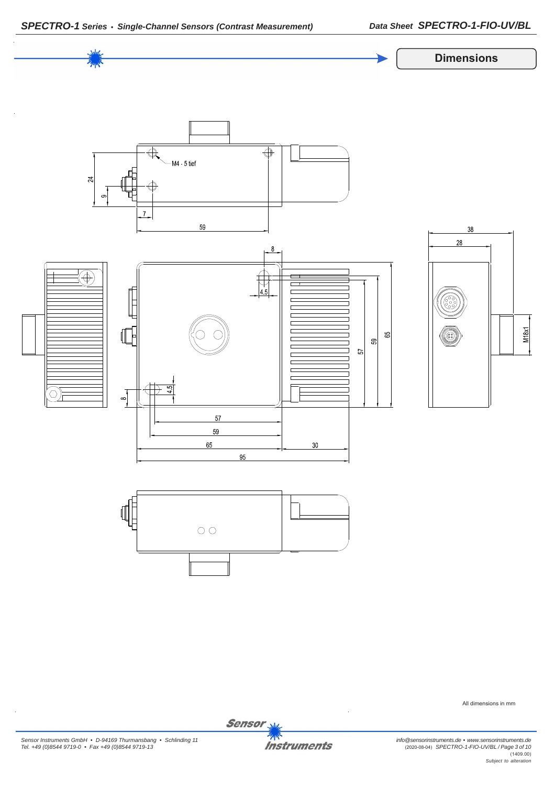



All dimensions in mm

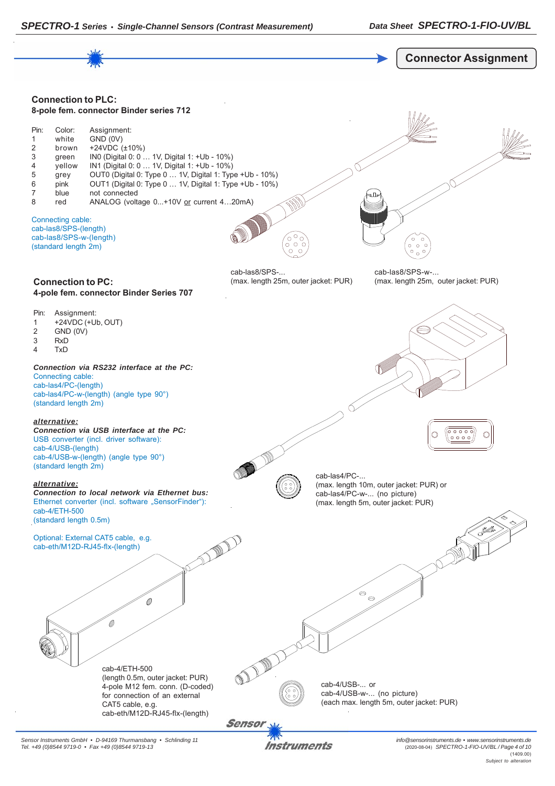



*Sensor Instruments GmbH • D-94169 Thurmansbang • Schlinding 11 Tel. +49 (0)8544 9719-0 • Fax +49 (0)8544 9719-13*

Instruments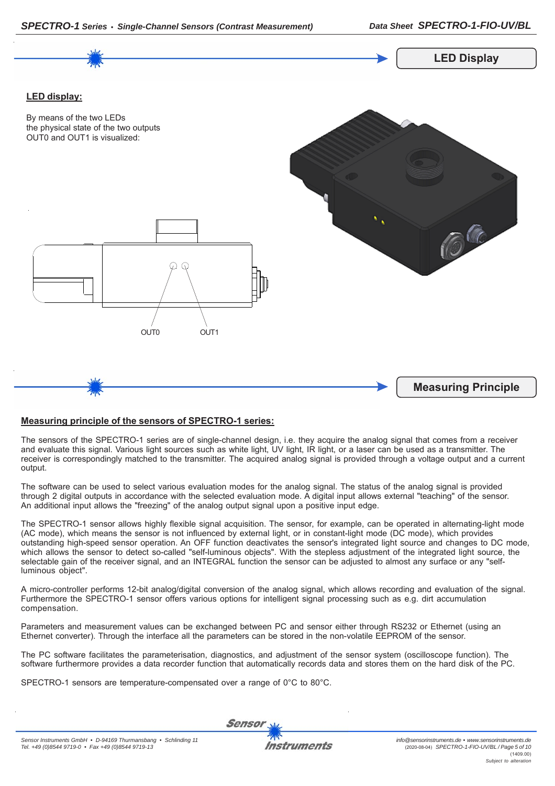



## **Measuring principle of the sensors of SPECTRO-1 series:**

The sensors of the SPECTRO-1 series are of single-channel design, i.e. they acquire the analog signal that comes from a receiver and evaluate this signal. Various light sources such as white light, UV light, IR light, or a laser can be used as a transmitter. The receiver is correspondingly matched to the transmitter. The acquired analog signal is provided through a voltage output and a current output.

The software can be used to select various evaluation modes for the analog signal. The status of the analog signal is provided through 2 digital outputs in accordance with the selected evaluation mode. A digital input allows external "teaching" of the sensor. An additional input allows the "freezing" of the analog output signal upon a positive input edge.

The SPECTRO-1 sensor allows highly flexible signal acquisition. The sensor, for example, can be operated in alternating-light mode (AC mode), which means the sensor is not influenced by external light, or in constant-light mode (DC mode), which provides outstanding high-speed sensor operation. An OFF function deactivates the sensor's integrated light source and changes to DC mode, which allows the sensor to detect so-called "self-luminous objects". With the stepless adjustment of the integrated light source, the selectable gain of the receiver signal, and an INTEGRAL function the sensor can be adjusted to almost any surface or any "selfluminous object".

A micro-controller performs 12-bit analog/digital conversion of the analog signal, which allows recording and evaluation of the signal. Furthermore the SPECTRO-1 sensor offers various options for intelligent signal processing such as e.g. dirt accumulation compensation.

Parameters and measurement values can be exchanged between PC and sensor either through RS232 or Ethernet (using an Ethernet converter). Through the interface all the parameters can be stored in the non-volatile EEPROM of the sensor.

The PC software facilitates the parameterisation, diagnostics, and adjustment of the sensor system (oscilloscope function). The software furthermore provides a data recorder function that automatically records data and stores them on the hard disk of the PC.

SPECTRO-1 sensors are temperature-compensated over a range of 0°C to 80°C.

**Sensor**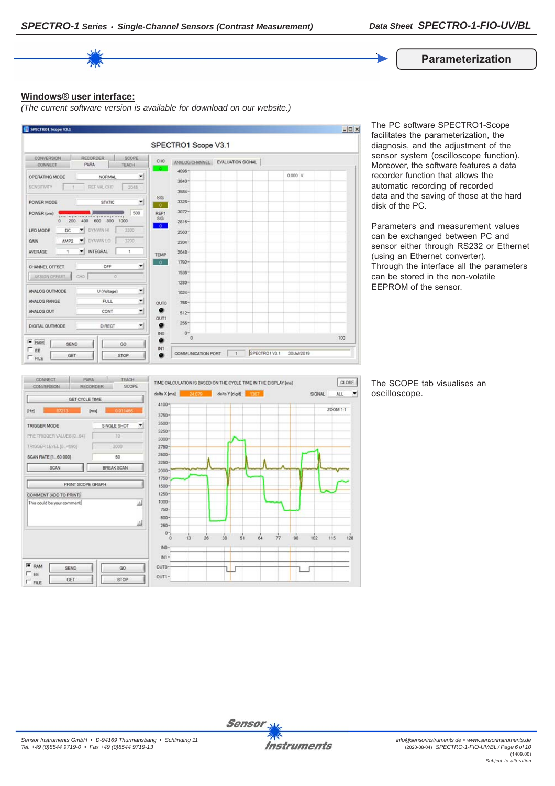

#### **Windows® user interface:**

*(The current software version is available for download on our website.)*



The PC software SPECTRO1-Scope facilitates the parameterization, the diagnosis, and the adjustment of the sensor system (oscilloscope function). Moreover, the software features a data recorder function that allows the automatic recording of recorded data and the saving of those at the hard disk of the PC.

Parameters and measurement values can be exchanged between PC and sensor either through RS232 or Ethernet (using an Ethernet converter). Through the interface all the parameters can be stored in the non-volatile EEPROM of the sensor.



The SCOPE tab visualises an oscilloscope.

 $\left| \cdot \right|$ 

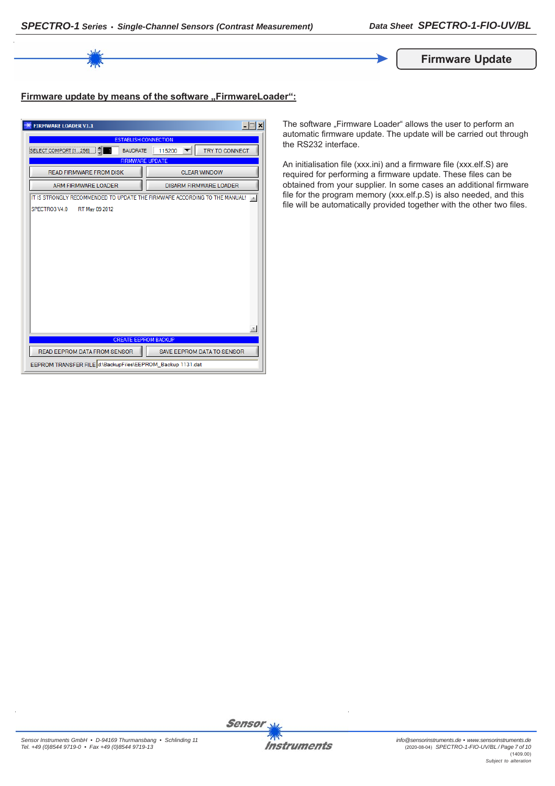

# Firmware update by means of the software "FirmwareLoader":

| <b>FIRMWARE LOADER V1.1</b>                                                | $ \Box$ $\times$                |  |  |
|----------------------------------------------------------------------------|---------------------------------|--|--|
| <b>ESTABLISH CONNECTION</b>                                                |                                 |  |  |
| SELECT COMPORT [1256]<br><b>BAUDRATE</b>                                   | <b>TRY TO CONNECT</b><br>115200 |  |  |
| <b>FIRMWARE UPDATE</b>                                                     |                                 |  |  |
| <b>READ FIRMWARE FROM DISK</b>                                             | <b>CLEAR WINDOW</b>             |  |  |
| <b>ARM FIRMWARE LOADER</b>                                                 | <b>DISARM FIRMWARE LOADER</b>   |  |  |
| IT IS STRONGLY RECOMMENDED TO UPDATE THE FIRMWARE ACCORDING TO THE MANUAL! |                                 |  |  |
| SPECTRO3 V4.0<br>RT May 09 2012                                            |                                 |  |  |
|                                                                            |                                 |  |  |
|                                                                            |                                 |  |  |
|                                                                            |                                 |  |  |
|                                                                            |                                 |  |  |
|                                                                            |                                 |  |  |
|                                                                            |                                 |  |  |
|                                                                            |                                 |  |  |
|                                                                            |                                 |  |  |
|                                                                            |                                 |  |  |
|                                                                            |                                 |  |  |
|                                                                            |                                 |  |  |
| <b>CREATE EEPROM BACKUP</b>                                                |                                 |  |  |
| READ EEPROM DATA FROM SENSOR                                               | SAVE EEPROM DATA TO SENSOR      |  |  |
| EEPROM TRANSFER FILE d:\BackupFiles\EEPROM_Backup 1131.dat                 |                                 |  |  |

The software "Firmware Loader" allows the user to perform an automatic firmware update. The update will be carried out through the RS232 interface.

An initialisation file (xxx.ini) and a firmware file (xxx.elf.S) are required for performing a firmware update. These files can be obtained from your supplier. In some cases an additional firmware file for the program memory (xxx.elf.p.S) is also needed, and this file will be automatically provided together with the other two files.

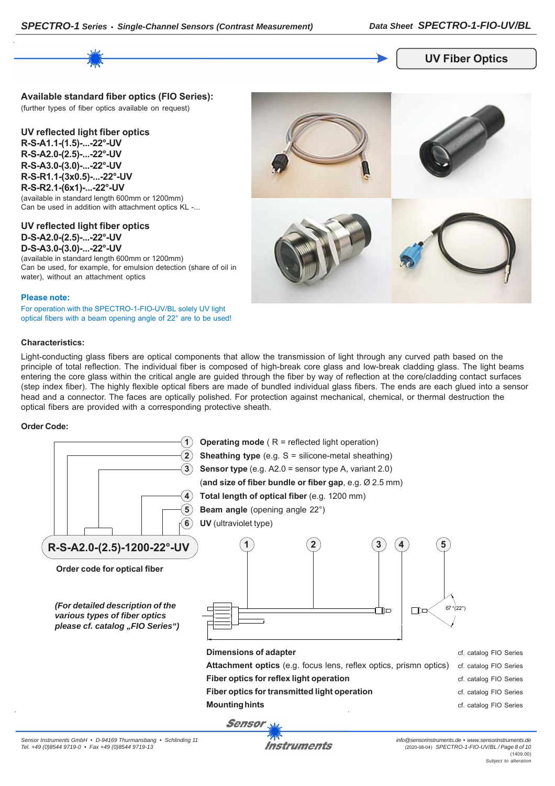

## **UV Fiber Optics**

**Available standard fiber optics (FIO Series):** (further types of fiber optics available on request)

**UV reflected light fiber optics R-S-A1.1-(1.5)-...-22°-UV R-S-A2.0-(2.5)-...-22°-UV R-S-A3.0-(3.0)-...-22°-UV R-S-R1.1-(3x0.5)-...-22°-UV R-S-R2.1-(6x1)-...-22°-UV**

(available in standard length 600mm or 1200mm) Can be used in addition with attachment optics KL -...

**UV reflected light fiber optics D-S-A2.0-(2.5)-...-22°-UV D-S-A3.0-(3.0)-...-22°-UV**

(available in standard length 600mm or 1200mm) Can be used, for example, for emulsion detection (share of oil in water), without an attachment optics

#### **Please note:**

For operation with the SPECTRO-1-FIO-UV/BL solely UV light optical fibers with a beam opening angle of 22° are to be used!

#### **Characteristics:**

Light-conducting glass fibers are optical components that allow the transmission of light through any curved path based on the principle of total reflection. The individual fiber is composed of high-break core glass and low-break cladding glass. The light beams entering the core glass within the critical angle are guided through the fiber by way of reflection at the core/cladding contact surfaces (step index fiber). The highly flexible optical fibers are made of bundled individual glass fibers. The ends are each glued into a sensor head and a connector. The faces are optically polished. For protection against mechanical, chemical, or thermal destruction the optical fibers are provided with a corresponding protective sheath.

#### **Order Code:**





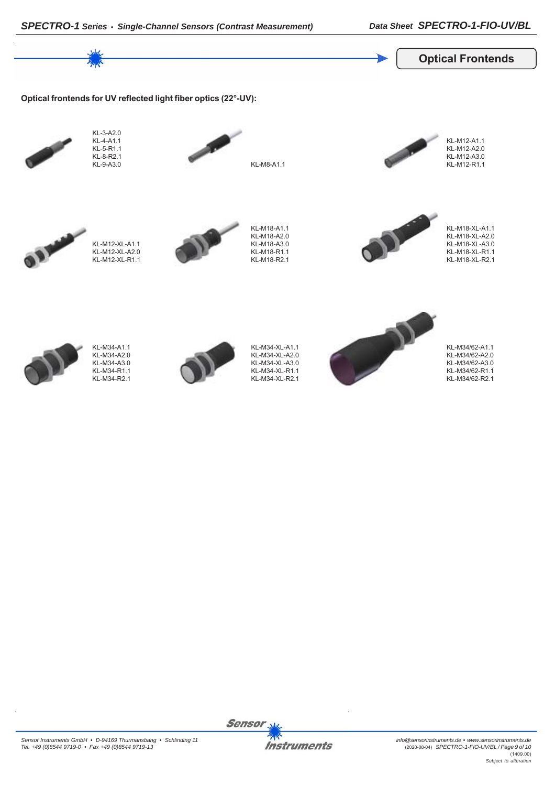